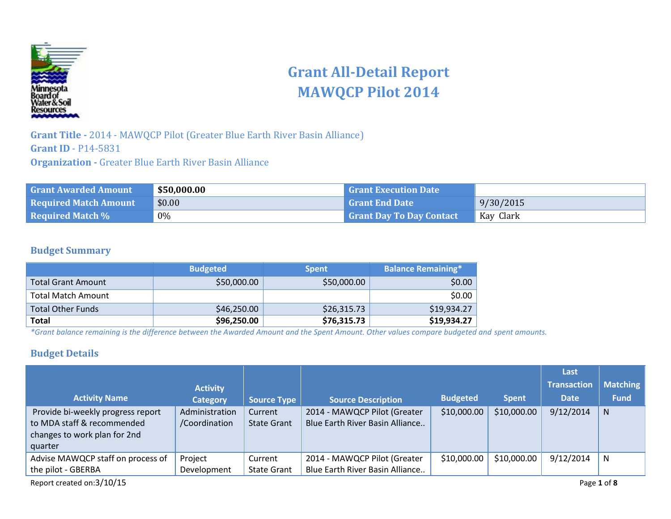

# **Grant All-Detail Report MAWQCP Pilot 2014**

**Grant Title -** 2014 - MAWQCP Pilot (Greater Blue Earth River Basin Alliance) **Grant ID** - P14-5831 **Organization -** Greater Blue Earth River Basin Alliance

| <b>Grant Awarded Amount</b>  | \$50,000.00 | <b>Grant Execution Date</b>     |           |
|------------------------------|-------------|---------------------------------|-----------|
| <b>Required Match Amount</b> | \$0.00      | <b>Grant End Date</b>           | 9/30/2015 |
| <b>Required Match %</b>      | 0%          | <b>Grant Day To Day Contact</b> | Kay Clark |

### **Budget Summary**

|                           | <b>Budgeted</b> | <b>Spent</b> | <b>Balance Remaining*</b> |
|---------------------------|-----------------|--------------|---------------------------|
| Total Grant Amount        | \$50,000.00     | \$50,000.00  | \$0.00                    |
| <b>Total Match Amount</b> |                 |              | \$0.00                    |
| <b>Total Other Funds</b>  | \$46,250.00     | \$26,315.73  | \$19,934.27               |
| Total                     | \$96,250.00     | \$76,315.73  | \$19,934.27               |

*\*Grant balance remaining is the difference between the Awarded Amount and the Spent Amount. Other values compare budgeted and spent amounts.*

### **Budget Details**

|                                                                                                            |                                 |                               |                                                                 |                 |              | Last               |                 |
|------------------------------------------------------------------------------------------------------------|---------------------------------|-------------------------------|-----------------------------------------------------------------|-----------------|--------------|--------------------|-----------------|
|                                                                                                            | <b>Activity</b>                 |                               |                                                                 |                 |              | <b>Transaction</b> | <b>Matching</b> |
| <b>Activity Name</b>                                                                                       | <b>Category</b>                 | <b>Source Type</b>            | <b>Source Description</b>                                       | <b>Budgeted</b> | <b>Spent</b> | <b>Date</b>        | <b>Fund</b>     |
| Provide bi-weekly progress report<br>to MDA staff & recommended<br>changes to work plan for 2nd<br>quarter | Administration<br>/Coordination | Current<br><b>State Grant</b> | 2014 - MAWQCP Pilot (Greater<br>Blue Earth River Basin Alliance | \$10,000.00     | \$10,000.00  | 9/12/2014          | $\mathsf{N}$    |
| Advise MAWQCP staff on process of<br>the pilot - GBERBA                                                    | Project<br>Development          | Current<br><b>State Grant</b> | 2014 - MAWQCP Pilot (Greater<br>Blue Earth River Basin Alliance | \$10,000.00     | \$10,000.00  | 9/12/2014          | N               |
| Report created on:3/10/15                                                                                  |                                 |                               |                                                                 |                 |              |                    | Page 1 of 8     |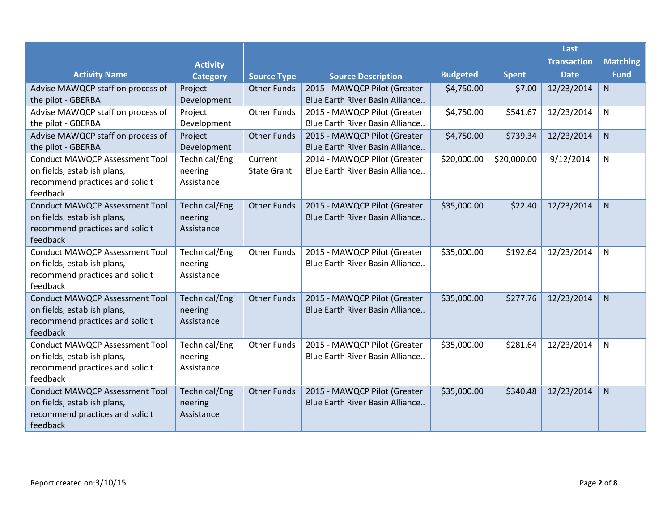|                                             |                       |                    |                                 |                 |              | Last               |                 |
|---------------------------------------------|-----------------------|--------------------|---------------------------------|-----------------|--------------|--------------------|-----------------|
|                                             | <b>Activity</b>       |                    |                                 |                 |              | <b>Transaction</b> | <b>Matching</b> |
| <b>Activity Name</b>                        | <b>Category</b>       | <b>Source Type</b> | <b>Source Description</b>       | <b>Budgeted</b> | <b>Spent</b> | <b>Date</b>        | <b>Fund</b>     |
| Advise MAWQCP staff on process of           | Project               | <b>Other Funds</b> | 2015 - MAWQCP Pilot (Greater    | \$4,750.00      | \$7.00       | 12/23/2014         | ${\sf N}$       |
| the pilot - GBERBA                          | Development           |                    | Blue Earth River Basin Alliance |                 |              |                    |                 |
| Advise MAWQCP staff on process of           | Project               | <b>Other Funds</b> | 2015 - MAWQCP Pilot (Greater    | \$4,750.00      | \$541.67     | 12/23/2014         | N               |
| the pilot - GBERBA                          | Development           |                    | Blue Earth River Basin Alliance |                 |              |                    |                 |
| Advise MAWQCP staff on process of           | Project               | <b>Other Funds</b> | 2015 - MAWQCP Pilot (Greater    | \$4,750.00      | \$739.34     | 12/23/2014         | $\mathsf{N}$    |
| the pilot - GBERBA                          | Development           |                    | Blue Earth River Basin Alliance |                 |              |                    |                 |
| <b>Conduct MAWQCP Assessment Tool</b>       | Technical/Engi        | Current            | 2014 - MAWQCP Pilot (Greater    | \$20,000.00     | \$20,000.00  | 9/12/2014          | N               |
| on fields, establish plans,                 | neering               | <b>State Grant</b> | Blue Earth River Basin Alliance |                 |              |                    |                 |
| recommend practices and solicit             | Assistance            |                    |                                 |                 |              |                    |                 |
| feedback                                    |                       |                    |                                 |                 |              |                    |                 |
| <b>Conduct MAWQCP Assessment Tool</b>       | Technical/Engi        | <b>Other Funds</b> | 2015 - MAWQCP Pilot (Greater    | \$35,000.00     | \$22.40      | 12/23/2014         | N               |
| on fields, establish plans,                 | neering               |                    | Blue Earth River Basin Alliance |                 |              |                    |                 |
| recommend practices and solicit             | Assistance            |                    |                                 |                 |              |                    |                 |
| feedback                                    |                       |                    |                                 |                 |              |                    |                 |
| <b>Conduct MAWQCP Assessment Tool</b>       | Technical/Engi        | <b>Other Funds</b> | 2015 - MAWQCP Pilot (Greater    | \$35,000.00     | \$192.64     | 12/23/2014         | N               |
| on fields, establish plans,                 | neering<br>Assistance |                    | Blue Earth River Basin Alliance |                 |              |                    |                 |
| recommend practices and solicit<br>feedback |                       |                    |                                 |                 |              |                    |                 |
| <b>Conduct MAWQCP Assessment Tool</b>       | Technical/Engi        | <b>Other Funds</b> | 2015 - MAWQCP Pilot (Greater    | \$35,000.00     | \$277.76     | 12/23/2014         | N.              |
| on fields, establish plans,                 | neering               |                    | Blue Earth River Basin Alliance |                 |              |                    |                 |
| recommend practices and solicit             | Assistance            |                    |                                 |                 |              |                    |                 |
| feedback                                    |                       |                    |                                 |                 |              |                    |                 |
| <b>Conduct MAWQCP Assessment Tool</b>       | Technical/Engi        | <b>Other Funds</b> | 2015 - MAWQCP Pilot (Greater    | \$35,000.00     | \$281.64     | 12/23/2014         | N               |
| on fields, establish plans,                 | neering               |                    | Blue Earth River Basin Alliance |                 |              |                    |                 |
| recommend practices and solicit             | Assistance            |                    |                                 |                 |              |                    |                 |
| feedback                                    |                       |                    |                                 |                 |              |                    |                 |
| <b>Conduct MAWQCP Assessment Tool</b>       | Technical/Engi        | <b>Other Funds</b> | 2015 - MAWQCP Pilot (Greater    | \$35,000.00     | \$340.48     | 12/23/2014         | N               |
| on fields, establish plans,                 | neering               |                    | Blue Earth River Basin Alliance |                 |              |                    |                 |
| recommend practices and solicit             | Assistance            |                    |                                 |                 |              |                    |                 |
| feedback                                    |                       |                    |                                 |                 |              |                    |                 |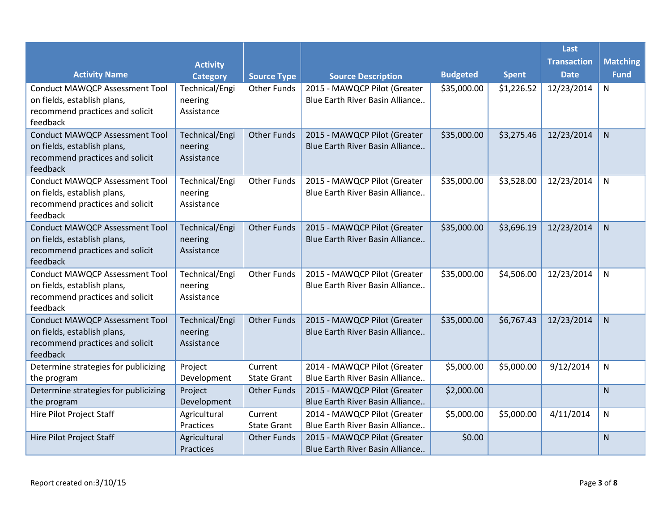|                                                                                                                     |                                         |                               |                                                                 |                 |              | Last               |                 |
|---------------------------------------------------------------------------------------------------------------------|-----------------------------------------|-------------------------------|-----------------------------------------------------------------|-----------------|--------------|--------------------|-----------------|
|                                                                                                                     | <b>Activity</b>                         |                               |                                                                 |                 |              | <b>Transaction</b> | <b>Matching</b> |
| <b>Activity Name</b>                                                                                                | <b>Category</b>                         | <b>Source Type</b>            | <b>Source Description</b>                                       | <b>Budgeted</b> | <b>Spent</b> | <b>Date</b>        | <b>Fund</b>     |
| <b>Conduct MAWQCP Assessment Tool</b><br>on fields, establish plans,<br>recommend practices and solicit<br>feedback | Technical/Engi<br>neering<br>Assistance | <b>Other Funds</b>            | 2015 - MAWQCP Pilot (Greater<br>Blue Earth River Basin Alliance | \$35,000.00     | \$1,226.52   | 12/23/2014         | N               |
| <b>Conduct MAWQCP Assessment Tool</b><br>on fields, establish plans,<br>recommend practices and solicit<br>feedback | Technical/Engi<br>neering<br>Assistance | <b>Other Funds</b>            | 2015 - MAWQCP Pilot (Greater<br>Blue Earth River Basin Alliance | \$35,000.00     | \$3,275.46   | 12/23/2014         | ${\sf N}$       |
| <b>Conduct MAWQCP Assessment Tool</b><br>on fields, establish plans,<br>recommend practices and solicit<br>feedback | Technical/Engi<br>neering<br>Assistance | <b>Other Funds</b>            | 2015 - MAWQCP Pilot (Greater<br>Blue Earth River Basin Alliance | \$35,000.00     | \$3,528.00   | 12/23/2014         | N               |
| <b>Conduct MAWQCP Assessment Tool</b><br>on fields, establish plans,<br>recommend practices and solicit<br>feedback | Technical/Engi<br>neering<br>Assistance | <b>Other Funds</b>            | 2015 - MAWQCP Pilot (Greater<br>Blue Earth River Basin Alliance | \$35,000.00     | \$3,696.19   | 12/23/2014         | N               |
| <b>Conduct MAWQCP Assessment Tool</b><br>on fields, establish plans,<br>recommend practices and solicit<br>feedback | Technical/Engi<br>neering<br>Assistance | <b>Other Funds</b>            | 2015 - MAWQCP Pilot (Greater<br>Blue Earth River Basin Alliance | \$35,000.00     | \$4,506.00   | 12/23/2014         | ${\sf N}$       |
| <b>Conduct MAWQCP Assessment Tool</b><br>on fields, establish plans,<br>recommend practices and solicit<br>feedback | Technical/Engi<br>neering<br>Assistance | <b>Other Funds</b>            | 2015 - MAWQCP Pilot (Greater<br>Blue Earth River Basin Alliance | \$35,000.00     | \$6,767.43   | 12/23/2014         | N               |
| Determine strategies for publicizing<br>the program                                                                 | Project<br>Development                  | Current<br><b>State Grant</b> | 2014 - MAWQCP Pilot (Greater<br>Blue Earth River Basin Alliance | \$5,000.00      | \$5,000.00   | 9/12/2014          | ${\sf N}$       |
| Determine strategies for publicizing<br>the program                                                                 | Project<br>Development                  | <b>Other Funds</b>            | 2015 - MAWQCP Pilot (Greater<br>Blue Earth River Basin Alliance | \$2,000.00      |              |                    | N               |
| Hire Pilot Project Staff                                                                                            | Agricultural<br>Practices               | Current<br><b>State Grant</b> | 2014 - MAWQCP Pilot (Greater<br>Blue Earth River Basin Alliance | \$5,000.00      | \$5,000.00   | 4/11/2014          | N               |
| Hire Pilot Project Staff                                                                                            | Agricultural<br>Practices               | <b>Other Funds</b>            | 2015 - MAWQCP Pilot (Greater<br>Blue Earth River Basin Alliance | \$0.00          |              |                    | N               |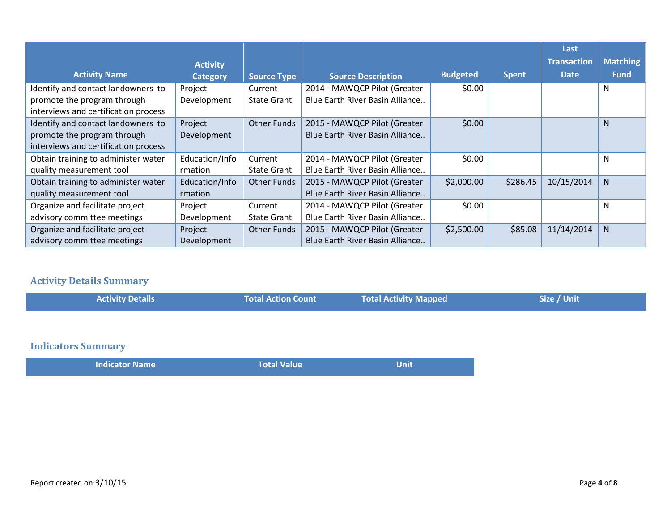|                                      |                 |                    |                                 |                 |              | Last               |                 |
|--------------------------------------|-----------------|--------------------|---------------------------------|-----------------|--------------|--------------------|-----------------|
|                                      | <b>Activity</b> |                    |                                 |                 |              | <b>Transaction</b> | <b>Matching</b> |
| <b>Activity Name</b>                 | <b>Category</b> | <b>Source Type</b> | <b>Source Description</b>       | <b>Budgeted</b> | <b>Spent</b> | <b>Date</b>        | <b>Fund</b>     |
| Identify and contact landowners to   | Project         | Current            | 2014 - MAWQCP Pilot (Greater    | \$0.00          |              |                    | N               |
| promote the program through          | Development     | <b>State Grant</b> | Blue Earth River Basin Alliance |                 |              |                    |                 |
| interviews and certification process |                 |                    |                                 |                 |              |                    |                 |
| Identify and contact landowners to   | Project         | <b>Other Funds</b> | 2015 - MAWQCP Pilot (Greater    | \$0.00          |              |                    | <sub>N</sub>    |
| promote the program through          | Development     |                    | Blue Earth River Basin Alliance |                 |              |                    |                 |
| interviews and certification process |                 |                    |                                 |                 |              |                    |                 |
| Obtain training to administer water  | Education/Info  | Current            | 2014 - MAWQCP Pilot (Greater    | \$0.00          |              |                    | N               |
| quality measurement tool             | rmation         | <b>State Grant</b> | Blue Earth River Basin Alliance |                 |              |                    |                 |
| Obtain training to administer water  | Education/Info  | <b>Other Funds</b> | 2015 - MAWQCP Pilot (Greater    | \$2,000.00      | \$286.45     | 10/15/2014         | N.              |
| quality measurement tool             | rmation         |                    | Blue Earth River Basin Alliance |                 |              |                    |                 |
| Organize and facilitate project      | Project         | Current            | 2014 - MAWQCP Pilot (Greater    | \$0.00          |              |                    | N               |
| advisory committee meetings          | Development     | <b>State Grant</b> | Blue Earth River Basin Alliance |                 |              |                    |                 |
| Organize and facilitate project      | Project         | Other Funds        | 2015 - MAWQCP Pilot (Greater    | \$2,500.00      | \$85.08      | 11/14/2014         | N.              |
| advisory committee meetings          | Development     |                    | Blue Earth River Basin Alliance |                 |              |                    |                 |

## **Activity Details Summary**

| <b>Activity Details</b>   | <b>Total Action Count</b> | <b>Total Activity Mapped</b> | Size / Unit |
|---------------------------|---------------------------|------------------------------|-------------|
|                           |                           |                              |             |
| <b>Indicators Summary</b> |                           |                              |             |
| <b>Indicator Name</b>     | <b>Total Value</b>        | <b>Unit</b>                  |             |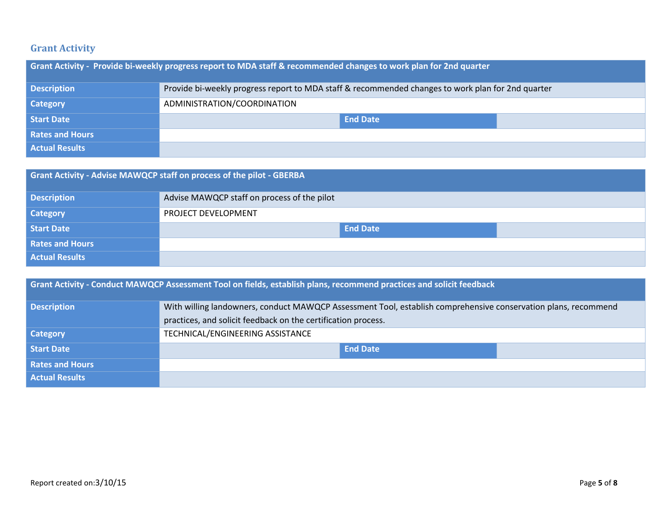### **Grant Activity**

| Grant Activity - Provide bi-weekly progress report to MDA staff & recommended changes to work plan for 2nd quarter |                                                                                                   |  |  |
|--------------------------------------------------------------------------------------------------------------------|---------------------------------------------------------------------------------------------------|--|--|
| <b>Description</b>                                                                                                 | Provide bi-weekly progress report to MDA staff & recommended changes to work plan for 2nd quarter |  |  |
| <b>Category</b>                                                                                                    | ADMINISTRATION/COORDINATION                                                                       |  |  |
| <b>Start Date</b>                                                                                                  | <b>End Date</b>                                                                                   |  |  |
| <b>Rates and Hours</b>                                                                                             |                                                                                                   |  |  |
| <b>Actual Results</b>                                                                                              |                                                                                                   |  |  |

| Grant Activity - Advise MAWQCP staff on process of the pilot - GBERBA |                                             |  |  |
|-----------------------------------------------------------------------|---------------------------------------------|--|--|
| <b>Description</b>                                                    | Advise MAWQCP staff on process of the pilot |  |  |
| <b>Category</b>                                                       | PROJECT DEVELOPMENT                         |  |  |
| Start Date                                                            | <b>End Date</b>                             |  |  |
| <b>Rates and Hours</b>                                                |                                             |  |  |
| <b>Actual Results</b>                                                 |                                             |  |  |

|                        | <b>Grant Activity - Conduct MAWQCP Assessment Tool on fields, establish plans, recommend practices and solicit feedback</b> |
|------------------------|-----------------------------------------------------------------------------------------------------------------------------|
| <b>Description</b>     | With willing landowners, conduct MAWQCP Assessment Tool, establish comprehensive conservation plans, recommend              |
|                        | practices, and solicit feedback on the certification process.                                                               |
| <b>Category</b>        | TECHNICAL/ENGINEERING ASSISTANCE                                                                                            |
| <b>Start Date</b>      | <b>End Date</b>                                                                                                             |
| <b>Rates and Hours</b> |                                                                                                                             |
| Actual Results         |                                                                                                                             |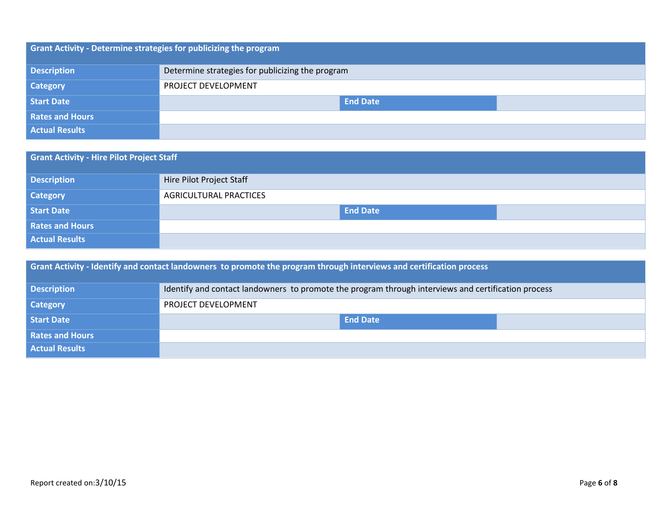| <b>Grant Activity - Determine strategies for publicizing the program</b> |                                                  |  |  |  |
|--------------------------------------------------------------------------|--------------------------------------------------|--|--|--|
| <b>Description</b>                                                       | Determine strategies for publicizing the program |  |  |  |
| <b>Category</b>                                                          | PROJECT DEVELOPMENT                              |  |  |  |
| Start Date                                                               | <b>End Date</b>                                  |  |  |  |
| Rates and Hours                                                          |                                                  |  |  |  |
| <b>Actual Results</b>                                                    |                                                  |  |  |  |

| <b>Grant Activity - Hire Pilot Project Staff</b> |                               |  |  |  |
|--------------------------------------------------|-------------------------------|--|--|--|
| <b>Description</b>                               | Hire Pilot Project Staff      |  |  |  |
| <b>Category</b>                                  | <b>AGRICULTURAL PRACTICES</b> |  |  |  |
| <b>Start Date</b>                                | <b>End Date</b>               |  |  |  |
| <b>Rates and Hours</b>                           |                               |  |  |  |
| <b>Actual Results</b>                            |                               |  |  |  |

| Grant Activity - Identify and contact landowners to promote the program through interviews and certification process |                                                                                                     |  |  |  |
|----------------------------------------------------------------------------------------------------------------------|-----------------------------------------------------------------------------------------------------|--|--|--|
| <b>Description</b>                                                                                                   | Identify and contact landowners to promote the program through interviews and certification process |  |  |  |
| <b>Category</b>                                                                                                      | PROJECT DEVELOPMENT                                                                                 |  |  |  |
| Start Date                                                                                                           | <b>End Date</b>                                                                                     |  |  |  |
| <b>Rates and Hours</b>                                                                                               |                                                                                                     |  |  |  |
| <b>Actual Results</b>                                                                                                |                                                                                                     |  |  |  |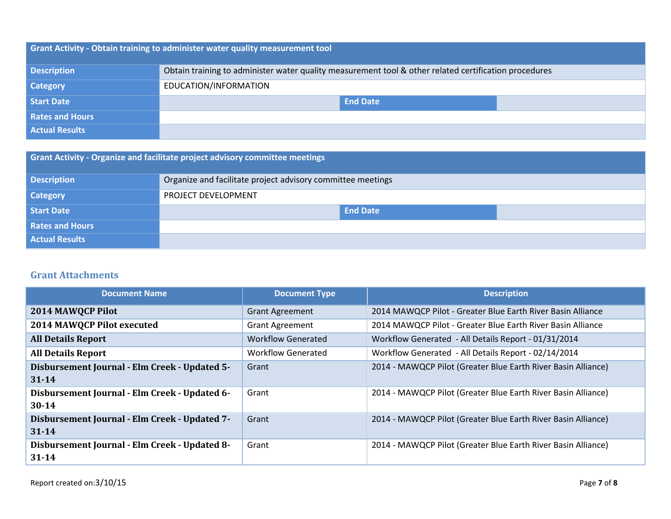| <b>Grant Activity - Obtain training to administer water quality measurement tool</b> |                                                                                                       |  |  |  |
|--------------------------------------------------------------------------------------|-------------------------------------------------------------------------------------------------------|--|--|--|
| <b>Description</b>                                                                   | Obtain training to administer water quality measurement tool & other related certification procedures |  |  |  |
| <b>Category</b>                                                                      | EDUCATION/INFORMATION                                                                                 |  |  |  |
| Start Date                                                                           | <b>End Date</b>                                                                                       |  |  |  |
| <b>Rates and Hours</b>                                                               |                                                                                                       |  |  |  |
| <b>Actual Results</b>                                                                |                                                                                                       |  |  |  |

| <b>Grant Activity - Organize and facilitate project advisory committee meetings</b> |                                                             |  |  |  |
|-------------------------------------------------------------------------------------|-------------------------------------------------------------|--|--|--|
| <b>Description</b>                                                                  | Organize and facilitate project advisory committee meetings |  |  |  |
| <b>Category</b>                                                                     | PROJECT DEVELOPMENT                                         |  |  |  |
| Start Date                                                                          | <b>End Date</b>                                             |  |  |  |
| <b>Rates and Hours</b>                                                              |                                                             |  |  |  |
| <b>Actual Results</b>                                                               |                                                             |  |  |  |

### **Grant Attachments**

| <b>Document Name</b>                          | <b>Document Type</b>      | <b>Description</b>                                            |
|-----------------------------------------------|---------------------------|---------------------------------------------------------------|
| 2014 MAWQCP Pilot                             | <b>Grant Agreement</b>    | 2014 MAWQCP Pilot - Greater Blue Earth River Basin Alliance   |
| 2014 MAWQCP Pilot executed                    | <b>Grant Agreement</b>    | 2014 MAWQCP Pilot - Greater Blue Earth River Basin Alliance   |
| <b>All Details Report</b>                     | <b>Workflow Generated</b> | Workflow Generated - All Details Report - 01/31/2014          |
| <b>All Details Report</b>                     | <b>Workflow Generated</b> | Workflow Generated - All Details Report - 02/14/2014          |
| Disbursement Journal - Elm Creek - Updated 5- | Grant                     | 2014 - MAWQCP Pilot (Greater Blue Earth River Basin Alliance) |
| $31 - 14$                                     |                           |                                                               |
| Disbursement Journal - Elm Creek - Updated 6- | Grant                     | 2014 - MAWQCP Pilot (Greater Blue Earth River Basin Alliance) |
| $30 - 14$                                     |                           |                                                               |
| Disbursement Journal - Elm Creek - Updated 7- | Grant                     | 2014 - MAWQCP Pilot (Greater Blue Earth River Basin Alliance) |
| $31 - 14$                                     |                           |                                                               |
| Disbursement Journal - Elm Creek - Updated 8- | Grant                     | 2014 - MAWQCP Pilot (Greater Blue Earth River Basin Alliance) |
| $31 - 14$                                     |                           |                                                               |